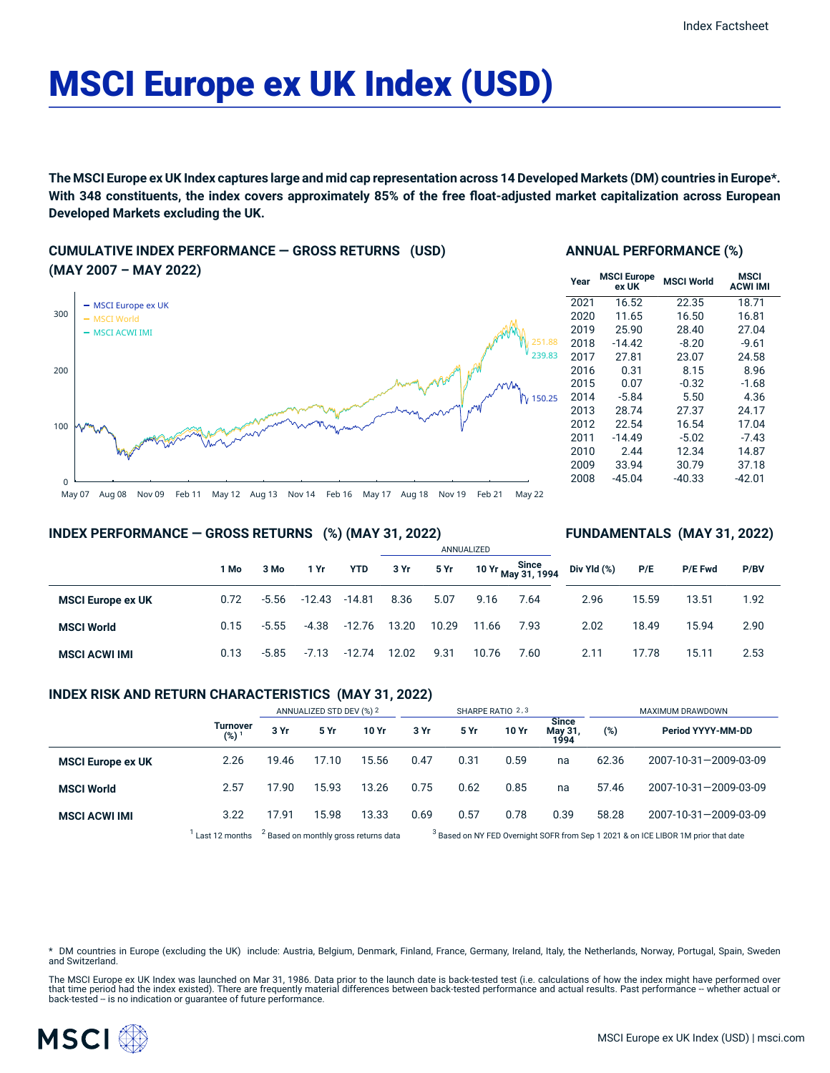# MSCI Europe ex UK Index (USD)

The MSCI Europe ex UK Index captures large and mid cap representation across 14 Developed Markets (DM) countries in Europe\*. With 348 constituents, the index covers approximately 85% of the free float-adjusted market capitalization across European **Developed Markets excluding the UK.**

## **CUMULATIVE INDEX PERFORMANCE — GROSS RETURNS (USD) (MAY 2007 – MAY 2022)**



## **ANNUAL PERFORMANCE (%)**

| Year | <b>MSCI Europe</b><br>ex UK | <b>MSCI World</b> | MSCI<br><b>ACWI IMI</b> |
|------|-----------------------------|-------------------|-------------------------|
| 2021 | 16.52                       | 22.35             | 18.71                   |
| 2020 | 11.65                       | 16.50             | 16.81                   |
| 2019 | 25.90                       | 28.40             | 27.04                   |
| 2018 | $-14.42$                    | $-8.20$           | $-9.61$                 |
| 2017 | 27.81                       | 23.07             | 24.58                   |
| 2016 | 0.31                        | 8.15              | 8.96                    |
| 2015 | 0.07                        | $-0.32$           | $-1.68$                 |
| 2014 | $-5.84$                     | 5.50              | 4.36                    |
| 2013 | 28.74                       | 27.37             | 24.17                   |
| 2012 | 22.54                       | 16.54             | 17.04                   |
| 2011 | $-14.49$                    | $-5.02$           | $-7.43$                 |
| 2010 | 2.44                        | 12.34             | 14.87                   |
| 2009 | 33.94                       | 30.79             | 37.18                   |
| 2008 | $-45.04$                    | $-40.33$          | -42.01                  |

## **INDEX PERFORMANCE — GROSS RETURNS (%) (MAY 31, 2022)**

## **FUNDAMENTALS (MAY 31, 2022)**

|                          | 1 Mo | 3 Mo    | 1 Yr    | YTD    | 3 Yr  | 5 Yr  |       | Since<br>10 Yr <sub>May</sub> 31, 1994 | Div Yld (%) | P/E   | P/E Fwd | P/BV |  |
|--------------------------|------|---------|---------|--------|-------|-------|-------|----------------------------------------|-------------|-------|---------|------|--|
| <b>MSCI Europe ex UK</b> | 0.72 | $-5.56$ | -12.43  | -14.81 | 8.36  | 5.07  | 9.16  | 7.64                                   | 2.96        | 15.59 | 13.51   | 1.92 |  |
| <b>MSCI World</b>        | 0.15 | $-5.55$ | -4.38   | -12.76 | 13.20 | 10.29 | 11.66 | 7.93                                   | 2.02        | 18.49 | 15.94   | 2.90 |  |
| <b>MSCI ACWI IMI</b>     | 0.13 | $-5.85$ | $-7.13$ | -12.74 | 12.02 | 9.31  | 10.76 | 7.60                                   | 2.11        | 17.78 | 15.11   | 2.53 |  |

ANNUALIZED

### **INDEX RISK AND RETURN CHARACTERISTICS (MAY 31, 2022)**

|                          |                                     | ANNUALIZED STD DEV (%) 2                         |       |       | SHARPE RATIO 2,3                                                                              |      |       |                                 | MAXIMUM DRAWDOWN |                       |  |
|--------------------------|-------------------------------------|--------------------------------------------------|-------|-------|-----------------------------------------------------------------------------------------------|------|-------|---------------------------------|------------------|-----------------------|--|
|                          | <b>Turnover</b><br>(%) <sup>1</sup> | 3 Yr                                             | 5 Yr  | 10 Yr | 3 Yr                                                                                          | 5 Yr | 10 Yr | <b>Since</b><br>May 31,<br>1994 | (%)              | Period YYYY-MM-DD     |  |
| <b>MSCI Europe ex UK</b> | 2.26                                | 19.46                                            | 17.10 | 15.56 | 0.47                                                                                          | 0.31 | 0.59  | na                              | 62.36            | 2007-10-31-2009-03-09 |  |
| <b>MSCI World</b>        | 2.57                                | 17.90                                            | 15.93 | 13.26 | 0.75                                                                                          | 0.62 | 0.85  | na                              | 57.46            | 2007-10-31-2009-03-09 |  |
| <b>MSCI ACWI IMI</b>     | 3.22                                | 17.91                                            | 15.98 | 13.33 | 0.69                                                                                          | 0.57 | 0.78  | 0.39                            | 58.28            | 2007-10-31-2009-03-09 |  |
|                          | Last 12 months                      | <sup>2</sup> Based on monthly gross returns data |       |       | <sup>3</sup> Based on NY FED Overnight SOFR from Sep 1 2021 & on ICE LIBOR 1M prior that date |      |       |                                 |                  |                       |  |

Based on NY FED Overnight SOFR from Sep 1 2021 & on ICE LIBOR 1M prior that date

\* DM countries in Europe (excluding the UK) include: Austria, Belgium, Denmark, Finland, France, Germany, Ireland, Italy, the Netherlands, Norway, Portugal, Spain, Sweden and Switzerland.

The MSCI Europe ex UK Index was launched on Mar 31, 1986. Data prior to the launch date is back-tested test (i.e. calculations of how the index might have performed over that time period had the index existed). There are frequently material differences between back-tested performance and actual results. Past performance -- whether actual or<br>back-tested -- is no indication or guarantee of f

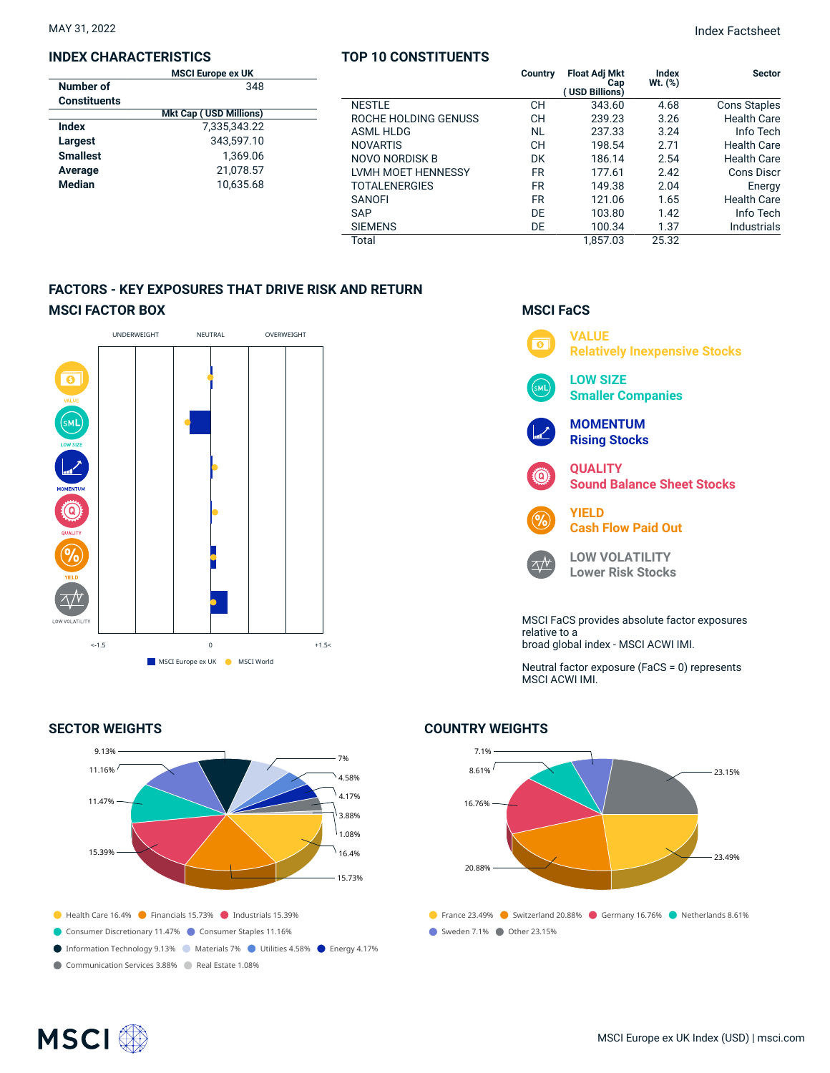### **INDEX CHARACTERISTICS**

|                     | <b>MSCI Europe ex UK</b>      |  |
|---------------------|-------------------------------|--|
| Number of           | 348                           |  |
| <b>Constituents</b> |                               |  |
|                     | <b>Mkt Cap (USD Millions)</b> |  |
| Index               | 7.335.343.22                  |  |
| Largest             | 343.597.10                    |  |
| <b>Smallest</b>     | 1.369.06                      |  |
| Average             | 21,078.57                     |  |
| <b>Median</b>       | 10.635.68                     |  |
|                     |                               |  |

## **TOP 10 CONSTITUENTS**

|                      | Country   | <b>Float Adj Mkt</b><br>Cap<br>(USD Billions) | Index<br>Wt. (%) | <b>Sector</b>       |
|----------------------|-----------|-----------------------------------------------|------------------|---------------------|
| <b>NESTLE</b>        | <b>CH</b> | 343.60                                        | 4.68             | <b>Cons Staples</b> |
| ROCHE HOLDING GENUSS | CН        | 239.23                                        | 3.26             | <b>Health Care</b>  |
| ASMI HIDG            | <b>NL</b> | 237.33                                        | 3.24             | Info Tech           |
| <b>NOVARTIS</b>      | CН        | 198.54                                        | 2.71             | Health Care         |
| NOVO NORDISK B       | DK        | 186.14                                        | 2.54             | <b>Health Care</b>  |
| LVMH MOET HENNESSY   | <b>FR</b> | 177.61                                        | 2.42             | Cons Discr          |
| <b>TOTALENERGIES</b> | <b>FR</b> | 149.38                                        | 2.04             | Energy              |
| <b>SANOFI</b>        | <b>FR</b> | 121.06                                        | 1.65             | <b>Health Care</b>  |
| <b>SAP</b>           | DE        | 103.80                                        | 1.42             | Info Tech           |
| <b>SIEMENS</b>       | DE        | 100.34                                        | 1.37             | Industrials         |
| Total                |           | 1.857.03                                      | 25.32            |                     |

## **FACTORS - KEY EXPOSURES THAT DRIVE RISK AND RETURN MSCI FACTOR BOX**



### **SECTOR WEIGHTS**

![](_page_1_Figure_9.jpeg)

## **MSCI FaCS**

![](_page_1_Figure_11.jpeg)

Neutral factor exposure (FaCS = 0) represents MSCI ACWI IMI.

## **COUNTRY WEIGHTS**

![](_page_1_Figure_14.jpeg)

## **MSCI**<sup>®</sup>